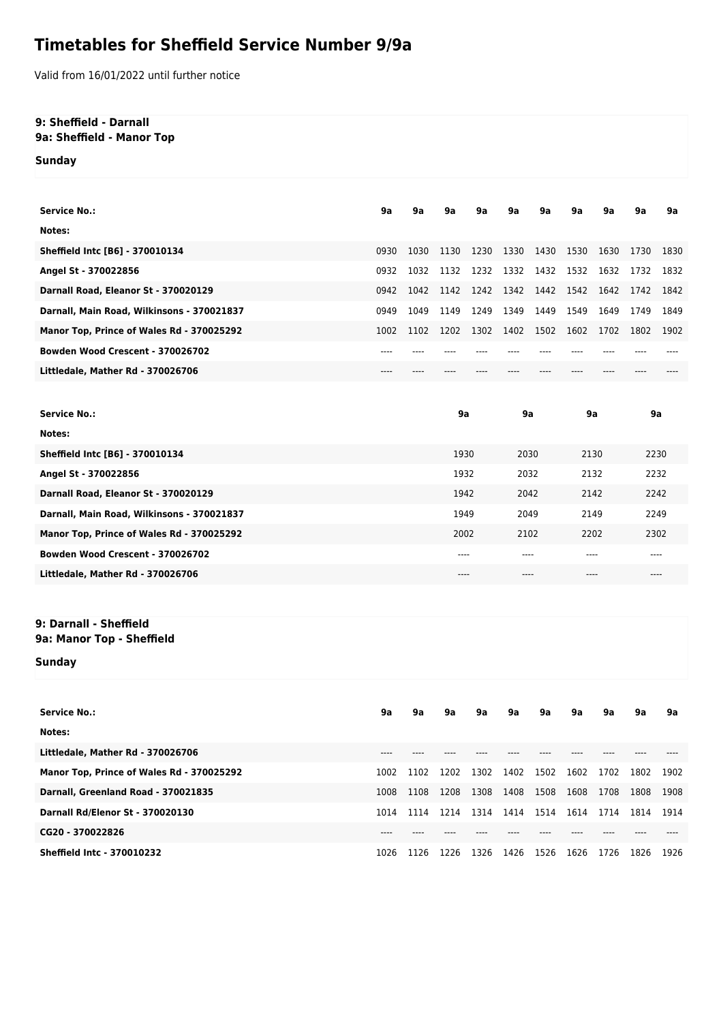## **Timetables for Sheffield Service Number 9/9a**

Valid from 16/01/2022 until further notice

## **9: Sheffield - Darnall 9a: Sheffield - Manor Top**

**Sunday**

| <b>Service No.:</b>                        | 9a   | 9a   | 9a   | 9a   | 9a        | 9a             | 9a   | 9a   | 9a   | 9a   |
|--------------------------------------------|------|------|------|------|-----------|----------------|------|------|------|------|
| Notes:                                     |      |      |      |      |           |                |      |      |      |      |
| Sheffield Intc [B6] - 370010134            | 0930 | 1030 | 1130 | 1230 | 1330 1430 |                | 1530 | 1630 | 1730 | 1830 |
| Angel St - 370022856                       | 0932 | 1032 | 1132 | 1232 | 1332 1432 |                | 1532 | 1632 | 1732 | 1832 |
| Darnall Road, Eleanor St - 370020129       | 0942 | 1042 | 1142 | 1242 |           | 1342 1442 1542 |      | 1642 | 1742 | 1842 |
| Darnall, Main Road, Wilkinsons - 370021837 | 0949 | 1049 | 1149 | 1249 | 1349      | 1449           | 1549 | 1649 | 1749 | 1849 |
| Manor Top, Prince of Wales Rd - 370025292  | 1002 | 1102 | 1202 | 1302 | 1402      | 1502           | 1602 | 1702 | 1802 | 1902 |
| Bowden Wood Crescent - 370026702           | ---  |      |      |      |           |                |      |      |      |      |
| Littledale, Mather Rd - 370026706          | ---  |      |      |      |           |                |      |      |      |      |
|                                            |      |      |      |      |           |                |      |      |      |      |

| 2230 |
|------|
| 2232 |
| 2242 |
| 2249 |
| 2302 |
|      |
| ---- |
|      |

## **9: Darnall - Sheffield 9a: Manor Top - Sheffield**

**Sunday**

| <b>Service No.:</b>                       | 9a   | 9a   | 9a   | 9а   | 9a   | 9a   | 9a   | 9a   | 9a   | 9a   |
|-------------------------------------------|------|------|------|------|------|------|------|------|------|------|
| Notes:                                    |      |      |      |      |      |      |      |      |      |      |
| Littledale, Mather Rd - 370026706         | ---- |      |      |      |      |      |      |      |      |      |
| Manor Top, Prince of Wales Rd - 370025292 | 1002 | 1102 | 1202 | 1302 | 1402 | 1502 | 1602 | 1702 | 1802 | 1902 |
| Darnall, Greenland Road - 370021835       | 1008 | 1108 | 1208 | 1308 | 1408 | 1508 | 1608 | 1708 | 1808 | 1908 |
| <b>Darnall Rd/Elenor St - 370020130</b>   | 1014 | 1114 | 1214 | 1314 | 1414 | 1514 | 1614 | 1714 | 1814 | 1914 |
| CG20 - 370022826                          |      |      |      |      |      |      |      |      |      |      |
| <b>Sheffield Intc - 370010232</b>         | 1026 | 1126 | 1226 | 1326 | 1426 | 1526 | 1626 | 1726 | 1826 | 1926 |